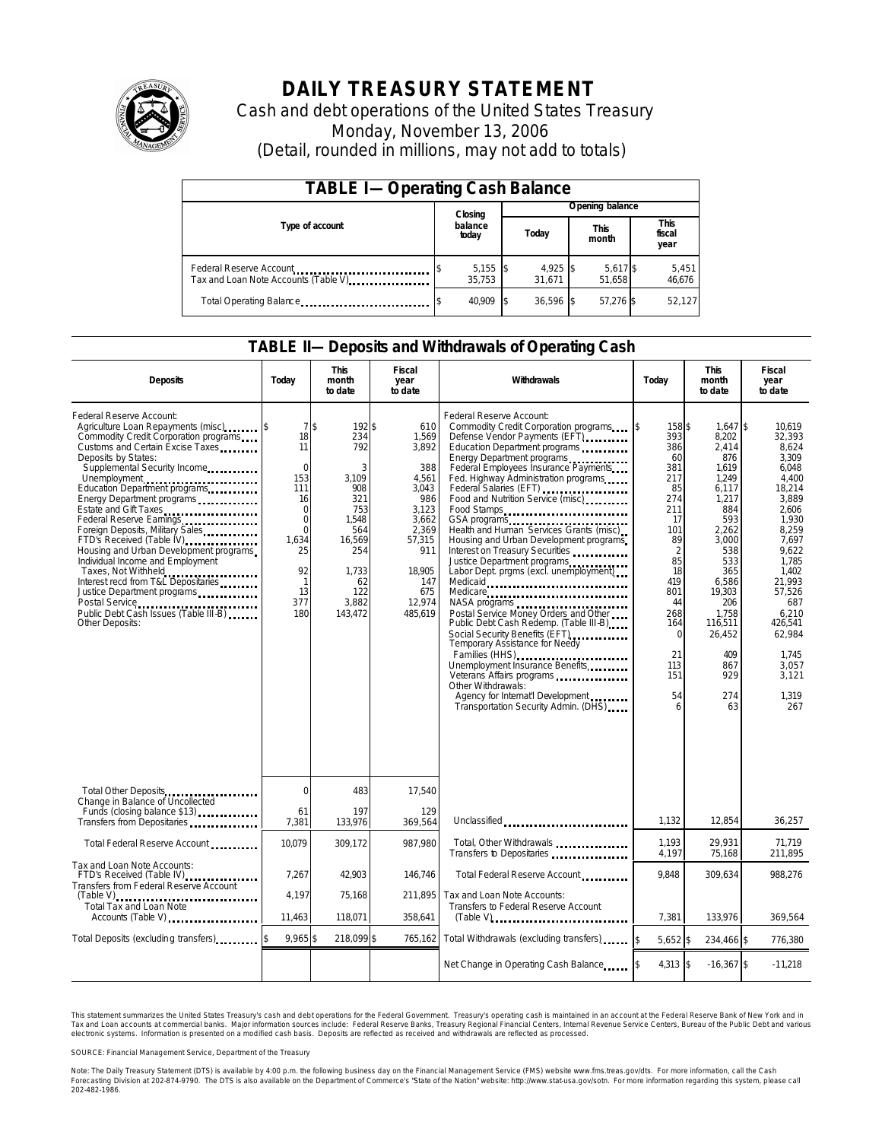

# **DAILY TREASURY STATEMENT**

Cash and debt operations of the United States Treasury Monday, November 13, 2006 (Detail, rounded in millions, may not add to totals)

| <b>TABLE I-Operating Cash Balance</b>                            |                  |                      |       |                      |                      |                    |                               |                 |  |
|------------------------------------------------------------------|------------------|----------------------|-------|----------------------|----------------------|--------------------|-------------------------------|-----------------|--|
|                                                                  |                  | Closing              |       | Opening balance      |                      |                    |                               |                 |  |
| Type of account                                                  | balance<br>today |                      | Today |                      | <b>This</b><br>month |                    | <b>This</b><br>fiscal<br>year |                 |  |
| Federal Reserve Account<br>Tax and Loan Note Accounts (Table V). |                  | $5,155$ \$<br>35.753 |       | $4,925$ \$<br>31.671 |                      | 5,617 \$<br>51.658 |                               | 5,451<br>46,676 |  |
| Total Operating Balance                                          |                  | 40.909               |       | $36.596$ \$          |                      | 57.276 \$          |                               | 52,127          |  |

### **TABLE II—Deposits and Withdrawals of Operating Cash**

| <b>Deposits</b>                                                                                                                                                                                                                                                                                                                                                                                                                                                                                                                                                                                                                | Today                                                                                                                                             | <b>This</b><br>month<br>to date                                                                                                   | <b>Fiscal</b><br>year<br>to date                                                                                                               | Withdrawals                                                                                                                                                                                                                                                                                                                                                                                                                                                                                                                                                                                                                                                                                                                                                                                                                                                                                  | Today                                                                                                                                                                                            | <b>This</b><br>month<br>to date                                                                                                                                                                                        | <b>Fiscal</b><br>year<br>to date                                                                                                                                                                                                           |
|--------------------------------------------------------------------------------------------------------------------------------------------------------------------------------------------------------------------------------------------------------------------------------------------------------------------------------------------------------------------------------------------------------------------------------------------------------------------------------------------------------------------------------------------------------------------------------------------------------------------------------|---------------------------------------------------------------------------------------------------------------------------------------------------|-----------------------------------------------------------------------------------------------------------------------------------|------------------------------------------------------------------------------------------------------------------------------------------------|----------------------------------------------------------------------------------------------------------------------------------------------------------------------------------------------------------------------------------------------------------------------------------------------------------------------------------------------------------------------------------------------------------------------------------------------------------------------------------------------------------------------------------------------------------------------------------------------------------------------------------------------------------------------------------------------------------------------------------------------------------------------------------------------------------------------------------------------------------------------------------------------|--------------------------------------------------------------------------------------------------------------------------------------------------------------------------------------------------|------------------------------------------------------------------------------------------------------------------------------------------------------------------------------------------------------------------------|--------------------------------------------------------------------------------------------------------------------------------------------------------------------------------------------------------------------------------------------|
| Federal Reserve Account:<br>Agriculture Loan Repayments (misc)<br>Commodity Credit Corporation programs<br>Customs and Certain Excise Taxes<br>Deposits by States:<br>Supplemental Security Income<br>Education Department programs<br>Energy Department programs<br>Estate and Gift Taxes<br>Federal Reserve Earnings<br>Foreign Deposits, Military Sales<br>FTD's Received (Table IV)<br>Housing and Urban Development programs<br>Individual Income and Employment<br>Taxes, Not Withheld<br>Interest recd from T&L Depositaries<br>Justice Department programs<br>Public Debt Cash Issues (Table III-B)<br>Other Deposits: | 7s<br>18<br>11<br>$\mathbf 0$<br>153<br>111<br>16<br>$\mathbf 0$<br>$\Omega$<br>$\Omega$<br>1,634<br>25<br>92<br>$\mathbf{1}$<br>13<br>377<br>180 | 192\$<br>234<br>792<br>3<br>3,109<br>908<br>321<br>753<br>1,548<br>564<br>16,569<br>254<br>1,733<br>62<br>122<br>3.882<br>143,472 | 610<br>1,569<br>3,892<br>388<br>4,561<br>3.043<br>986<br>3,123<br>3.662<br>2.369<br>57,315<br>911<br>18.905<br>147<br>675<br>12,974<br>485,619 | Federal Reserve Account:<br>Commodity Credit Corporation programs<br>Defense Vendor Payments (EFT)<br>Education Department programs<br>Energy Department programs<br>Federal Employees Insurance Payments<br>Fed. Highway Administration programs<br>Federal Salaries (EFT)<br>Food and Nutrition Service (misc)<br>Food Stamps<br>Health and Human Services Grants (misc)<br>Housing and Urban Development programs<br>Interest on Treasury Securities<br>Justice Department programs<br>Labor Dept. prgms (excl. unemployment)<br>Medicaid<br>Medicare<br>NASA programs<br>Postal Service Money Orders and Other<br>Public Debt Cash Redemp. (Table III-B)<br>Social Security Benefits (EFT)<br><br>Temporary Assistance for Needy<br>Families (HHS)<br>Unemployment Insurance Benefits<br>Other Withdrawals:<br>Agency for Internat'l Development<br>Transportation Security Admin. (DHS) | 158 \$<br>ß.<br>393<br>386<br>60<br>381<br>217<br>85<br>274<br>211<br>17<br>101<br>89<br>$\overline{2}$<br>85<br>18<br>419<br>801<br>44<br>268<br>164<br>$\Omega$<br>21<br>113<br>151<br>54<br>6 | $1.647$ \$<br>8,202<br>2,414<br>876<br>1,619<br>1,249<br>6,117<br>1,217<br>884<br>593<br>2.262<br>3,000<br>538<br>533<br>365<br>6,586<br>19,303<br>206<br>1.758<br>116,511<br>26,452<br>409<br>867<br>929<br>274<br>63 | 10.619<br>32,393<br>8.624<br>3.309<br>6.048<br>4.400<br>18.214<br>3.889<br>2.606<br>1.930<br>8.259<br>7.697<br>9.622<br>1.785<br>1.402<br>21,993<br>57.526<br>687<br>6.210<br>426,541<br>62,984<br>1.745<br>3,057<br>3,121<br>1.319<br>267 |
| Total Other Deposits<br>Change in Balance of Uncollected                                                                                                                                                                                                                                                                                                                                                                                                                                                                                                                                                                       | $\Omega$                                                                                                                                          | 483                                                                                                                               | 17,540                                                                                                                                         |                                                                                                                                                                                                                                                                                                                                                                                                                                                                                                                                                                                                                                                                                                                                                                                                                                                                                              |                                                                                                                                                                                                  |                                                                                                                                                                                                                        |                                                                                                                                                                                                                                            |
| Funds (closing balance \$13)<br>Transfers from Depositaries                                                                                                                                                                                                                                                                                                                                                                                                                                                                                                                                                                    | 61<br>7,381                                                                                                                                       | 197<br>133,976                                                                                                                    | 129<br>369,564                                                                                                                                 | Unclassified                                                                                                                                                                                                                                                                                                                                                                                                                                                                                                                                                                                                                                                                                                                                                                                                                                                                                 | 1,132                                                                                                                                                                                            | 12,854                                                                                                                                                                                                                 | 36,257                                                                                                                                                                                                                                     |
| Total Federal Reserve Account                                                                                                                                                                                                                                                                                                                                                                                                                                                                                                                                                                                                  | 10,079                                                                                                                                            | 309,172                                                                                                                           | 987.980                                                                                                                                        | Total, Other Withdrawals<br>Transfers to Depositaries                                                                                                                                                                                                                                                                                                                                                                                                                                                                                                                                                                                                                                                                                                                                                                                                                                        | 1,193<br>4,197                                                                                                                                                                                   | 29.931<br>75,168                                                                                                                                                                                                       | 71,719<br>211,895                                                                                                                                                                                                                          |
| Tax and Loan Note Accounts:<br>FTD's Received (Table IV)<br>Transfers from Federal Reserve Account                                                                                                                                                                                                                                                                                                                                                                                                                                                                                                                             | 7,267<br>4,197                                                                                                                                    | 42,903<br>75,168                                                                                                                  | 146,746<br>211.895                                                                                                                             | Total Federal Reserve Account<br>Tax and Loan Note Accounts:                                                                                                                                                                                                                                                                                                                                                                                                                                                                                                                                                                                                                                                                                                                                                                                                                                 | 9,848                                                                                                                                                                                            | 309,634                                                                                                                                                                                                                | 988,276                                                                                                                                                                                                                                    |
| $(Table V)$<br>Total Tax and Loan Note<br>Accounts (Table V)                                                                                                                                                                                                                                                                                                                                                                                                                                                                                                                                                                   | 11,463                                                                                                                                            | 118,071                                                                                                                           | 358,641                                                                                                                                        | Transfers to Federal Reserve Account                                                                                                                                                                                                                                                                                                                                                                                                                                                                                                                                                                                                                                                                                                                                                                                                                                                         | 7,381                                                                                                                                                                                            | 133,976                                                                                                                                                                                                                | 369,564                                                                                                                                                                                                                                    |
| Total Deposits (excluding transfers)                                                                                                                                                                                                                                                                                                                                                                                                                                                                                                                                                                                           | 9,965\$                                                                                                                                           | 218,099 \$                                                                                                                        | 765,162                                                                                                                                        | Total Withdrawals (excluding transfers)                                                                                                                                                                                                                                                                                                                                                                                                                                                                                                                                                                                                                                                                                                                                                                                                                                                      | 5,652 \$                                                                                                                                                                                         | 234,466 \$                                                                                                                                                                                                             | 776,380                                                                                                                                                                                                                                    |
|                                                                                                                                                                                                                                                                                                                                                                                                                                                                                                                                                                                                                                |                                                                                                                                                   |                                                                                                                                   |                                                                                                                                                | Net Change in Operating Cash Balance                                                                                                                                                                                                                                                                                                                                                                                                                                                                                                                                                                                                                                                                                                                                                                                                                                                         | 4,313 \$                                                                                                                                                                                         | $-16,367$ \$                                                                                                                                                                                                           | $-11,218$                                                                                                                                                                                                                                  |

This statement summarizes the United States Treasury's cash and debt operations for the Federal Government. Treasury's operating cash is maintained in an account at the Federal Reserve Bank of New York and in Tax and Loan accounts at commerdal banks. Major information sources include: Federal Reserve Banks, Treasury Regional Financial Centers, Internal Revenue Service Centers, Bureau of the Public Debt and various<br>electronic sy

SOURCE: Financial Management Service, Department of the Treasury

Note: The Daily Treasury Statement (DTS) is available by 4:00 p.m. the following business day on the Financial Management Service (FMS) website www.fms.treas.gov/dts. For more information, call the Cash<br>Forecasting Divisio 'S) is available by 4:00 p.m. the following business day on the Financial Management Service (FMS) website www.fms.treas.gov/dts. For more information, call the Cash<br>The DTS is also available on the Department of Commerce'